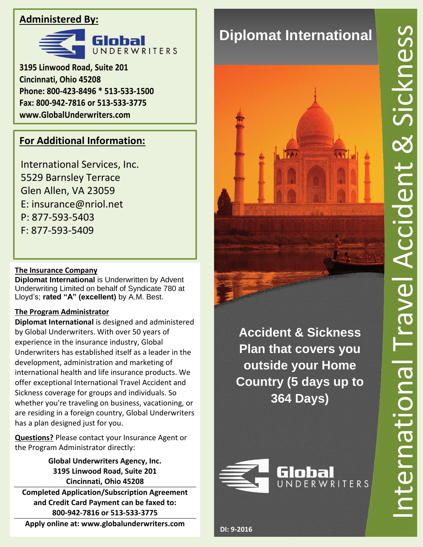### **Administered By:**



**3195 Linwood Road, Suite 201 Cincinnati, Ohio 45208 Phone: 800-423-8496 \* 513-533-1500 Fax: 800-942-7816 or 513-533-3775 www.GlobalUnderwriters.com**

## **For Additional Information:**

International Services, Inc. 5529 Barnsley Terrace Glen Allen, VA 23059 E: insurance@nriol.net P: 877-593-5403 F: 877-593-5409

### **The Insurance Company**

**Diplomat International** is Underwritten by Advent Underwriting Limited on behalf of Syndicate 780 at Lloyd's; **rated "A" (excellent)** by A.M. Best.

### **The Program Administrator**

**Diplomat International** is designed and administered by Global Underwriters. With over 50 years of experience in the insurance industry, Global Underwriters has established itself as a leader in the development, administration and marketing of international health and life insurance products. We offer exceptional International Travel Accident and Sickness coverage for groups and individuals. So whether you're traveling on business, vacationing, or are residing in a foreign country, Global Underwriters has a plan designed just for you.

**Questions?** Please contact your Insurance Agent or the Program Administrator directly:

> **Global Underwriters Agency, Inc. 3195 Linwood Road, Suite 201 Cincinnati, Ohio 45208**

**Completed Application/Subscription Agreement and Credit Card Payment can be faxed to: 800-942-7816 or 513-533-3775**

**Apply online at: www.globalunderwriters.com**

# **Diplomat International**



**Accident & Sickness Plan that covers you outside your Home Country (5 days up to 364 Days)**

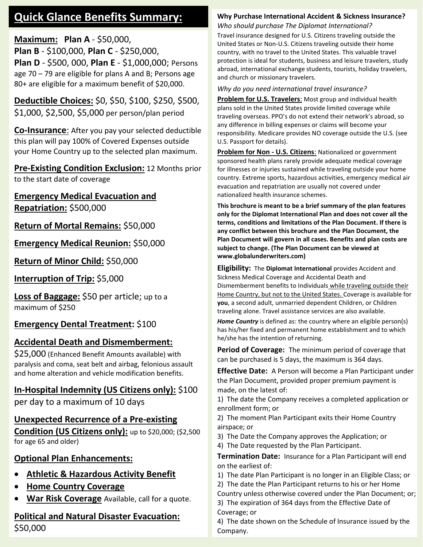### **Quick Glance Benefits Summary:**

**Maximum: Plan A** - \$50,000, **Plan B** - \$100,000, **Plan C** - \$250,000, **Plan D** - \$500, 000, **Plan E** - \$1,000,000; Persons age 70 – 79 are eligible for plans A and B; Persons age 80+ are eligible for a maximum benefit of \$20,000.

**Deductible Choices:** \$0, \$50, \$100, \$250, \$500, \$1,000, \$2,500, \$5,000 per person/plan period

**Co-Insurance**: After you pay your selected deductible this plan will pay 100% of Covered Expenses outside your Home Country up to the selected plan maximum.

#### **Pre-Existing Condition Exclusion:** 12 Months prior to the start date of coverage

**Emergency Medical Evacuation and Repatriation:** \$500,000

**Return of Mortal Remains:** \$50,000

**Emergency Medical Reunion:** \$50,000

**Return of Minor Child:** \$50,000

**Interruption of Trip:** \$5,000

**Loss of Baggage:** \$50 per article; up to a maximum of \$250

### **Emergency Dental Treatment:** \$100

### **Accidental Death and Dismemberment:**

\$25,000 (Enhanced Benefit Amounts available) with paralysis and coma, seat belt and airbag, felonious assault and home alteration and vehicle modification benefits.

### **In-Hospital Indemnity (US Citizens only):** \$100

per day to a maximum of 10 days

### **Unexpected Recurrence of a Pre-existing**

**Condition (US Citizens only):** up to \$20,000; (\$2,500 for age 65 and older)

### **Optional Plan Enhancements:**

- **Athletic & Hazardous Activity Benefit**
- **Home Country Coverage**
- **War Risk Coverage** Available, call for a quote.

### **Political and Natural Disaster Evacuation:** \$50,000

#### **Why Purchase International Accident & Sickness Insurance?** *Who should purchase The Diplomat International?*

Travel insurance designed for U.S. Citizens traveling outside the United States or Non-U.S. Citizens traveling outside their home country, with no travel to the United States. This valuable travel protection is ideal for students, business and leisure travelers, study abroad, international exchange students, tourists, holiday travelers, and church or missionary travelers.

*Why do you need international travel insurance?*

**Problem for U.S. Travelers**: Most group and individual health plans sold in the United States provide limited coverage while traveling overseas. PPO's do not extend their network's abroad, so any difference in billing expenses or claims will become your responsibility. Medicare provides NO coverage outside the U.S. (see U.S. Passport for details).

**Problem for Non - U.S. Citizens**: Nationalized or government sponsored health plans rarely provide adequate medical coverage for illnesses or injuries sustained while traveling outside your home country. Extreme sports, hazardous activities, emergency medical air evacuation and repatriation are usually not covered under nationalized health insurance schemes.

**This brochure is meant to be a brief summary of the plan features only for the Diplomat International Plan and does not cover all the terms, conditions and limitations of the Plan Document. If there is any conflict between this brochure and the Plan Document, the Plan Document will govern in all cases. Benefits and plan costs are subject to change. (The Plan Document can be viewed at www.globalunderwriters.com)**

**Eligibility:** The **Diplomat International** provides Accident and Sickness Medical Coverage and Accidental Death and Dismemberment benefits to Individuals while traveling outside their Home Country, but not to the United States. Coverage is available for **you**, a second adult, unmarried dependent Children, or Children traveling alone. Travel assistance services are also available.

*Home Country* is defined as: the country where an eligible person(s) has his/her fixed and permanent home establishment and to which he/she has the intention of returning.

**Period of Coverage:** The minimum period of coverage that can be purchased is 5 days, the maximum is 364 days.

**Effective Date:** A Person will become a Plan Participant under the Plan Document, provided proper premium payment is made, on the latest of:

1) The date the Company receives a completed application or enrollment form; or

2) The moment Plan Participant exits their Home Country airspace; or

3) The Date the Company approves the Application; or

4) The Date requested by the Plan Participant.

**Termination Date:** Insurance for a Plan Participant will end on the earliest of:

1) The date Plan Participant is no longer in an Eligible Class; or

2) The date the Plan Participant returns to his or her Home

Country unless otherwise covered under the Plan Document; or; 3) The expiration of 364 days from the Effective Date of Coverage; or

4) The date shown on the Schedule of Insurance issued by the Company.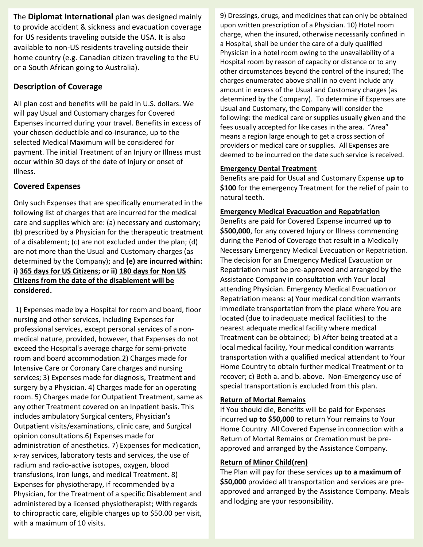The **Diplomat International** plan was designed mainly to provide accident & sickness and evacuation coverage for US residents traveling outside the USA. It is also available to non-US residents traveling outside their home country (e.g. Canadian citizen traveling to the EU or a South African going to Australia).

#### **Description of Coverage**

All plan cost and benefits will be paid in U.S. dollars. We will pay Usual and Customary charges for Covered Expenses incurred during your travel. Benefits in excess of your chosen deductible and co-insurance, up to the selected Medical Maximum will be considered for payment. The initial Treatment of an Injury or Illness must occur within 30 days of the date of Injury or onset of Illness.

#### **Covered Expenses**

Only such Expenses that are specifically enumerated in the following list of charges that are incurred for the medical care and supplies which are: (a) necessary and customary; (b) prescribed by a Physician for the therapeutic treatment of a disablement; (c) are not excluded under the plan; (d) are not more than the Usual and Customary charges (as determined by the Company); and **(e) are incurred within: i) 365 days for US Citizens; or ii) 180 days for Non US Citizens from the date of the disablement will be considered.** 

1) Expenses made by a Hospital for room and board, floor nursing and other services, including Expenses for professional services, except personal services of a nonmedical nature, provided, however, that Expenses do not exceed the Hospital's average charge for semi-private room and board accommodation.2) Charges made for Intensive Care or Coronary Care charges and nursing services; 3) Expenses made for diagnosis, Treatment and surgery by a Physician. 4) Charges made for an operating room. 5) Charges made for Outpatient Treatment, same as any other Treatment covered on an Inpatient basis. This includes ambulatory Surgical centers, Physician's Outpatient visits/examinations, clinic care, and Surgical opinion consultations.6) Expenses made for administration of anesthetics. 7) Expenses for medication, x-ray services, laboratory tests and services, the use of radium and radio-active isotopes, oxygen, blood transfusions, iron lungs, and medical Treatment. 8) Expenses for physiotherapy, if recommended by a Physician, for the Treatment of a specific Disablement and administered by a licensed physiotherapist; With regards to chiropractic care, eligible charges up to \$50.00 per visit, with a maximum of 10 visits.

9) Dressings, drugs, and medicines that can only be obtained upon written prescription of a Physician. 10) Hotel room charge, when the insured, otherwise necessarily confined in a Hospital, shall be under the care of a duly qualified Physician in a hotel room owing to the unavailability of a Hospital room by reason of capacity or distance or to any other circumstances beyond the control of the insured; The charges enumerated above shall in no event include any amount in excess of the Usual and Customary charges (as determined by the Company). To determine if Expenses are Usual and Customary, the Company will consider the following: the medical care or supplies usually given and the fees usually accepted for like cases in the area. "Area" means a region large enough to get a cross section of providers or medical care or supplies. All Expenses are deemed to be incurred on the date such service is received.

#### **Emergency Dental Treatment**

Benefits are paid for Usual and Customary Expense **up to \$100** for the emergency Treatment for the relief of pain to natural teeth.

#### **Emergency Medical Evacuation and Repatriation**

Benefits are paid for Covered Expense incurred **up to \$500,000**, for any covered Injury or Illness commencing during the Period of Coverage that result in a Medically Necessary Emergency Medical Evacuation or Repatriation. The decision for an Emergency Medical Evacuation or Repatriation must be pre-approved and arranged by the Assistance Company in consultation with Your local attending Physician. Emergency Medical Evacuation or Repatriation means: a) Your medical condition warrants immediate transportation from the place where You are located (due to inadequate medical facilities) to the nearest adequate medical facility where medical Treatment can be obtained; b) After being treated at a local medical facility, Your medical condition warrants transportation with a qualified medical attendant to Your Home Country to obtain further medical Treatment or to recover; c) Both a. and b. above. Non-Emergency use of special transportation is excluded from this plan.

#### **Return of Mortal Remains**

If You should die, Benefits will be paid for Expenses incurred **up to \$50,000** to return Your remains to Your Home Country. All Covered Expense in connection with a Return of Mortal Remains or Cremation must be preapproved and arranged by the Assistance Company.

#### **Return of Minor Child(ren)**

The Plan will pay for these services **up to a maximum of \$50,000** provided all transportation and services are preapproved and arranged by the Assistance Company. Meals and lodging are your responsibility.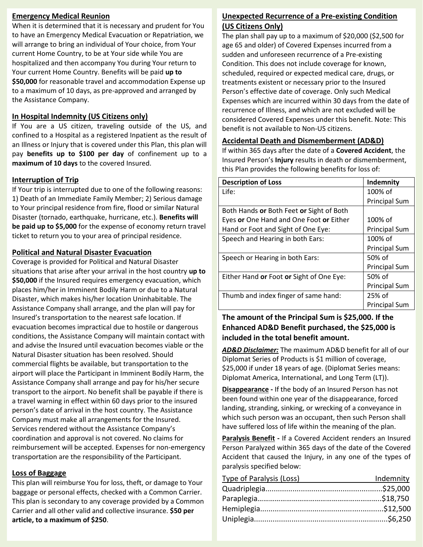#### **Emergency Medical Reunion**

When it is determined that it is necessary and prudent for You to have an Emergency Medical Evacuation or Repatriation, we will arrange to bring an individual of Your choice, from Your current Home Country, to be at Your side while You are hospitalized and then accompany You during Your return to Your current Home Country. Benefits will be paid **up to \$50,000** for reasonable travel and accommodation Expense up to a maximum of 10 days, as pre-approved and arranged by the Assistance Company.

#### **In Hospital Indemnity (US Citizens only)**

If You are a US citizen, traveling outside of the US, and confined to a Hospital as a registered Inpatient as the result of an Illness or Injury that is covered under this Plan, this plan will pay **benefits up to \$100 per day** of confinement up to a **maximum of 10 days** to the covered Insured.

#### **Interruption of Trip**

If Your trip is interrupted due to one of the following reasons: 1) Death of an Immediate Family Member; 2) Serious damage to Your principal residence from fire, flood or similar Natural Disaster (tornado, earthquake, hurricane, etc.). **Benefits will be paid up to \$5,000** for the expense of economy return travel ticket to return you to your area of principal residence.

#### **Political and Natural Disaster Evacuation**

Coverage is provided for Political and Natural Disaster situations that arise after your arrival in the host country **up to \$50,000** if the Insured requires emergency evacuation, which places him/her in Imminent Bodily Harm or due to a Natural Disaster, which makes his/her location Uninhabitable. The Assistance Company shall arrange, and the plan will pay for Insured's transportation to the nearest safe location. If evacuation becomes impractical due to hostile or dangerous conditions, the Assistance Company will maintain contact with and advise the Insured until evacuation becomes viable or the Natural Disaster situation has been resolved. Should commercial flights be available, but transportation to the airport will place the Participant in Imminent Bodily Harm, the Assistance Company shall arrange and pay for his/her secure transport to the airport. No benefit shall be payable if there is a travel warning in effect within 60 days prior to the insured person's date of arrival in the host country. The Assistance Company must make all arrangements for the Insured. Services rendered without the Assistance Company's coordination and approval is not covered. No claims for reimbursement will be accepted. Expenses for non-emergency transportation are the responsibility of the Participant.

#### **Loss of Baggage**

This plan will reimburse You for loss, theft, or damage to Your baggage or personal effects, checked with a Common Carrier. This plan is secondary to any coverage provided by a Common Carrier and all other valid and collective insurance. **\$50 per article, to a maximum of \$250**.

#### **Unexpected Recurrence of a Pre-existing Condition (US Citizens Only)**

The plan shall pay up to a maximum of \$20,000 (\$2,500 for age 65 and older) of Covered Expenses incurred from a sudden and unforeseen recurrence of a Pre-existing Condition. This does not include coverage for known, scheduled, required or expected medical care, drugs, or treatments existent or necessary prior to the Insured Person's effective date of coverage. Only such Medical Expenses which are incurred within 30 days from the date of recurrence of Illness, and which are not excluded will be considered Covered Expenses under this benefit. Note: This benefit is not available to Non-US citizens.

#### **Accidental Death and Dismemberment (AD&D)**

If within 365 days after the date of a **Covered Accident**, the Insured Person's **Injury** results in death or dismemberment, this Plan provides the following benefits for loss of:

| <b>Description of Loss</b>               | Indemnity            |
|------------------------------------------|----------------------|
| Life:                                    | 100% of              |
|                                          | <b>Principal Sum</b> |
| Both Hands or Both Feet or Sight of Both |                      |
| Eyes or One Hand and One Foot or Either  | 100% of              |
| Hand or Foot and Sight of One Eye:       | <b>Principal Sum</b> |
| Speech and Hearing in both Ears:         | 100% of              |
|                                          | <b>Principal Sum</b> |
| Speech or Hearing in both Ears:          | 50% of               |
|                                          | <b>Principal Sum</b> |
| Either Hand or Foot or Sight of One Eye: | 50% of               |
|                                          | <b>Principal Sum</b> |
| Thumb and index finger of same hand:     | 25% of               |
|                                          | <b>Principal Sum</b> |

#### **The amount of the Principal Sum is \$25,000. If the Enhanced AD&D Benefit purchased, the \$25,000 is included in the total benefit amount.**

*AD&D Disclaimer:* The maximum AD&D benefit for all of our Diplomat Series of Products is \$1 million of coverage, \$25,000 if under 18 years of age. (Diplomat Series means: Diplomat America, International, and Long Term (LT)).

**Disappearance -** If the body of an Insured Person has not been found within one year of the disappearance, forced landing, stranding, sinking, or wrecking of a conveyance in which such person was an occupant, then such Person shall have suffered loss of life within the meaning of the plan.

**Paralysis Benefit -** If a Covered Accident renders an Insured Person Paralyzed within 365 days of the date of the Covered Accident that caused the Injury, in any one of the types of paralysis specified below:

| Type of Paralysis (Loss) | Indemnity |
|--------------------------|-----------|
|                          |           |
|                          |           |
|                          |           |
|                          |           |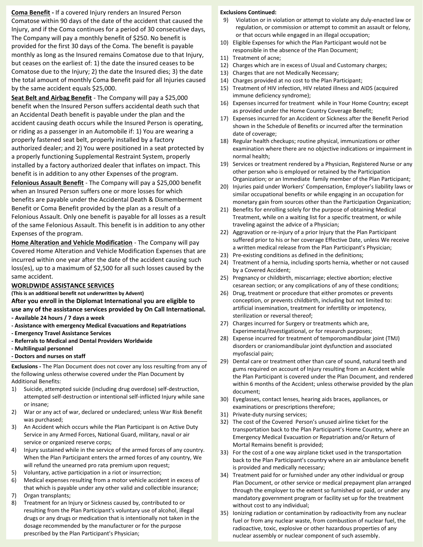**Coma Benefit -** If a covered Injury renders an Insured Person Comatose within 90 days of the date of the accident that caused the Injury, and if the Coma continues for a period of 30 consecutive days, The Company will pay a monthly benefit of \$250. No benefit is provided for the first 30 days of the Coma. The benefit is payable monthly as long as the Insured remains Comatose due to that Injury, but ceases on the earliest of: 1) the date the insured ceases to be Comatose due to the Injury; 2) the date the Insured dies; 3) the date the total amount of monthly Coma Benefit paid for all Injuries caused by the same accident equals \$25,000.

**Seat Belt and Airbag Benefit** - The Company will pay a \$25,000 benefit when the Insured Person suffers accidental death such that an Accidental Death benefit is payable under the plan and the accident causing death occurs while the Insured Person is operating, or riding as a passenger in an Automobile if: 1) You are wearing a properly fastened seat belt, properly installed by a factory authorized dealer; and 2) You were positioned in a seat protected by a properly functioning Supplemental Restraint System, properly installed by a factory authorized dealer that inflates on impact. This benefit is in addition to any other Expenses of the program. **Felonious Assault Benefit** - The Company will pay a \$25,000 benefit when an Insured Person suffers one or more losses for which benefits are payable under the Accidental Death & Dismemberment Benefit or Coma Benefit provided by the plan as a result of a Felonious Assault. Only one benefit is payable for all losses as a result of the same Felonious Assault. This benefit is in addition to any other Expenses of the program.

**Home Alteration and Vehicle Modification** - The Company will pay Covered Home Alteration and Vehicle Modification Expenses that are incurred within one year after the date of the accident causing such loss(es), up to a maximum of \$2,500 for all such losses caused by the same accident.

#### **WORLDWIDE ASSISTANCE SERVICES**

**(This is an additional benefit not underwritten by Advent) After you enroll in the Diplomat International you are eligible to use any of the assistance services provided by On Call International.** 

- **- Available 24 hours / 7 days a week**
- **- Assistance with emergency Medical Evacuations and Repatriations**
- **- Emergency Travel Assistance Services**
- **- Referrals to Medical and Dental Providers Worldwide**
- **- Multilingual personnel**
- **- Doctors and nurses on staff**

**Exclusions -** The Plan Document does not cover any loss resulting from any of the following unless otherwise covered under the Plan Document by Additional Benefits:

- 1) Suicide, attempted suicide (including drug overdose) self-destruction, attempted self-destruction or intentional self-inflicted Injury while sane or insane;
- 2) War or any act of war, declared or undeclared; unless War Risk Benefit was purchased;
- 3) An Accident which occurs while the Plan Participant is on Active Duty Service in any Armed Forces, National Guard, military, naval or air service or organized reserve corps;
- 4) Injury sustained while in the service of the armed forces of any country. When the Plan Participant enters the armed forces of any country, We will refund the unearned pro rata premium upon request:
- 5) Voluntary, active participation in a riot or insurrection;
- 6) Medical expenses resulting from a motor vehicle accident in excess of that which is payable under any other valid and collectible insurance;
- 7) Organ transplants;
- 8) Treatment for an Injury or Sickness caused by, contributed to or resulting from the Plan Participant's voluntary use of alcohol, illegal drugs or any drugs or medication that is intentionally not taken in the dosage recommended by the manufacturer or for the purpose prescribed by the Plan Participant's Physician;

#### **Exclusions Continued:**

- 9) Violation or in violation or attempt to violate any duly-enacted law or regulation, or commission or attempt to commit an assault or felony, or that occurs while engaged in an illegal occupation;
- 10) Eligible Expenses for which the Plan Participant would not be responsible in the absence of the Plan Document;
- 11) Treatment of acne;
- 12) Charges which are in excess of Usual and Customary charges;
- 13) Charges that are not Medically Necessary;
- 14) Charges provided at no cost to the Plan Participant;
- 15) Treatment of HIV infection, HIV related illness and AIDS (acquired immune deficiency syndrome);
- 16) Expenses incurred for treatment while in Your Home Country; except as provided under the Home Country Coverage Benefit;
- 17) Expenses incurred for an Accident or Sickness after the Benefit Period shown in the Schedule of Benefits or incurred after the termination date of coverage;
- 18) Regular health checkups; routine physical, immunizations or other examination where there are no objective indications or impairment in normal health;
- 19) Services or treatment rendered by a Physician, Registered Nurse or any other person who is employed or retained by the Participation Organization; or an Immediate family member of the Plan Participant;
- 20) Injuries paid under Workers' Compensation, Employer's liability laws or similar occupational benefits or while engaging in an occupation for monetary gain from sources other than the Participation Organization;
- 21) Benefits for enrolling solely for the purpose of obtaining Medical Treatment, while on a waiting list for a specific treatment, or while traveling against the advice of a Physician;
- 22) Aggravation or re-injury of a prior Injury that the Plan Participant suffered prior to his or her coverage Effective Date, unless We receive a written medical release from the Plan Participant's Physician;
- 23) Pre-existing conditions as defined in the definitions;
- 24) Treatment of a hernia, including sports hernia, whether or not caused by a Covered Accident;
- 25) Pregnancy or childbirth, miscarriage; elective abortion; elective cesarean section; or any complications of any of these conditions;
- 26) Drug, treatment or procedure that either promotes or prevents conception, or prevents childbirth, including but not limited to: artificial insemination, treatment for infertility or impotency, sterilization or reversal thereof;
- 27) Charges incurred for Surgery or treatments which are, Experimental/Investigational, or for research purposes;
- 28) Expense incurred for treatment of temporomandibular joint (TMJ) disorders or craniomandibular joint dysfunction and associated myofascial pain;
- 29) Dental care or treatment other than care of sound, natural teeth and gums required on account of Injury resulting from an Accident while the Plan Participant is covered under the Plan Document, and rendered within 6 months of the Accident; unless otherwise provided by the plan document;
- 30) Eyeglasses, contact lenses, hearing aids braces, appliances, or examinations or prescriptions therefore;
- 31) Private-duty nursing services;
- 32) The cost of the Covered Person's unused airline ticket for the transportation back to the Plan Participant's Home Country, where an Emergency Medical Evacuation or Repatriation and/or Return of Mortal Remains benefit is provided;
- 33) For the cost of a one way airplane ticket used in the transportation back to the Plan Participant's country where an air ambulance benefit is provided and medically necessary;
- 34) Treatment paid for or furnished under any other individual or group Plan Document, or other service or medical prepayment plan arranged through the employer to the extent so furnished or paid, or under any mandatory government program or facility set up for the treatment without cost to any individual;
- 35) Ionizing radiation or contamination by radioactivity from any nuclear fuel or from any nuclear waste, from combustion of nuclear fuel, the radioactive, toxic, explosive or other hazardous properties of any nuclear assembly or nuclear component of such assembly.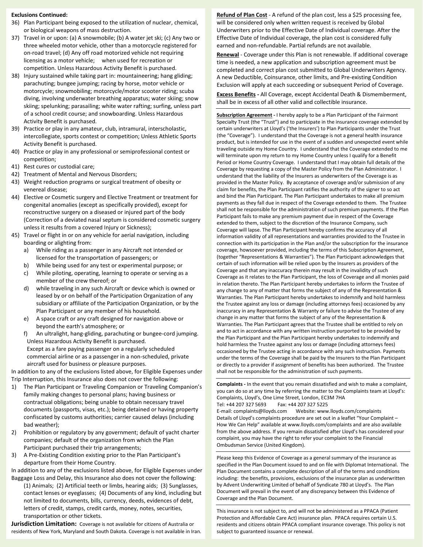#### **Exclusions Continued:**

- 36) Plan Participant being exposed to the utilization of nuclear, chemical, or biological weapons of mass destruction.
- 37) Travel in or upon: (a) A snowmobile; (b) A water jet ski; (c) Any two or three wheeled motor vehicle, other than a motorcycle registered for on-road travel; (d) Any off road motorized vehicle not requiring licensing as a motor vehicle; when used for recreation or competition. Unless Hazardous Activity Benefit is purchased.
- 38) Injury sustained while taking part in: mountaineering; hang gliding; parachuting; bungee jumping; racing by horse, motor vehicle or motorcycle; snowmobiling; motorcycle/motor scooter riding; scuba diving, involving underwater breathing apparatus; water skiing; snow skiing; spelunking; parasailing; white water rafting; surfing, unless part of a school credit course; and snowboarding. Unless Hazardous Activity Benefit is purchased.
- 39) Practice or play in any amateur, club, intramural, interscholastic, intercollegiate, sports contest or competition; Unless Athletic Sports Activity Benefit is purchased.
- 40) Practice or play in any professional or semiprofessional contest or competition;
- 41) Rest cures or custodial care;
- 42) Treatment of Mental and Nervous Disorders;
- 43) Weight reduction programs or surgical treatment of obesity or venereal disease;
- 44) Elective or Cosmetic surgery and Elective Treatment or treatment for congenital anomalies (except as specifically provided), except for reconstructive surgery on a diseased or injured part of the body (Correction of a deviated nasal septum is considered cosmetic surgery unless it results from a covered Injury or Sickness);
- 45) Travel or flight in or on any vehicle for aerial navigation, including boarding or alighting from:
	- a) While riding as a passenger in any Aircraft not intended or licensed for the transportation of passengers; or
	- b) While being used for any test or experimental purpose; or
	- c) While piloting, operating, learning to operate or serving as a member of the crew thereof; or
	- d) while traveling in any such Aircraft or device which is owned or leased by or on behalf of the Participation Organization of any subsidiary or affiliate of the Participation Organization, or by the Plan Participant or any member of his household.
	- e) A space craft or any craft designed for navigation above or beyond the earth's atmosphere; or
	- f) An ultralight, hang-gliding, parachuting or bungee-cord jumping. Unless Hazardous Activity Benefit is purchased. Except as a fare paying passenger on a regularly scheduled commercial airline or as a passenger in a non-scheduled, private aircraft used for business or pleasure purposes.

In addition to any of the exclusions listed above, for Eligible Expenses under Trip Interruption, this Insurance also does not cover the following:

- 1) The Plan Participant or Traveling Companion or Traveling Companion's family making changes to personal plans; having business or contractual obligations; being unable to obtain necessary travel documents (passports, visas, etc.); being detained or having property confiscated by customs authorities; carrier caused delays (including bad weather);
- 2) Prohibition or regulatory by any government; default of yacht charter companies; default of the organization from which the Plan Participant purchased their trip arrangements;
- 3) A Pre-Existing Condition existing prior to the Plan Participant's departure from their Home Country.

In addition to any of the exclusions listed above, for Eligible Expenses under Baggage Loss and Delay, this Insurance also does not cover the following:

(1) Animals; (2) Artificial teeth or limbs, hearing aids; (3) Sunglasses, contact lenses or eyeglasses; (4) Documents of any kind, including but not limited to documents, bills, currency, deeds, evidences of debt, letters of credit, stamps, credit cards, money, notes, securities, transportation or other tickets.

**Jurisdiction Limitation:** Coverage is not available for citizens of Australia or residents of New York, Maryland and South Dakota. Coverage is not available in Iran. **Refund of Plan Cost** - A refund of the plan cost, less a \$25 processing fee, will be considered only when written request is received by Global Underwriters prior to the Effective Date of Individual coverage. After the Effective Date of Individual coverage, the plan cost is considered fully earned and non-refundable. Partial refunds are not available.

**Renewal** - Coverage under this Plan is not renewable. If additional coverage time is needed, a new application and subscription agreement must be completed and correct plan cost submitted to Global Underwriters Agency. A new Deductible, Coinsurance, other limits, and Pre-existing Condition Exclusion will apply at each succeeding or subsequent Period of Coverage.

**Excess Benefits -** All Coverage, except Accidental Death & Dismemberment, shall be in excess of all other valid and collectible insurance.

**Subscription Agreement -** I hereby apply to be a Plan Participant of the Fairmont Specialty Trust (the "Trust") and to participate in the insurance coverage extended by certain underwriters at Lloyd's ('the Insurers') to Plan Participants under the Trust (the "Coverage"). I understand that the Coverage is not a general health insurance product, but is intended for use in the event of a sudden and unexpected event while traveling outside my Home Country. I understand that the Coverage extended to me will terminate upon my return to my Home Country unless I qualify for a Benefit Period or Home Country Coverage. I understand that I may obtain full details of the Coverage by requesting a copy of the Master Policy from the Plan Administrator. I understand that the liability of the Insurers as underwriters of the Coverage is as provided in the Master Policy. By acceptance of coverage and/or submission of any claim for benefits, the Plan Participant ratifies the authority of the signer to so act and bind the Plan Participant. The Plan Participant undertakes to make all premium payments as they fall due in respect of the Coverage extended to them. The Trustee shall not be responsible for the administration of such premium payments. If the Plan Participant fails to make any premium payment due in respect of the Coverage extended to them, subject to the discretion of the Insurance Company, such Coverage will lapse. The Plan Participant hereby confirms the accuracy of all information validity of all representations and warranties provided to the Trustee in connection with its participation in the Plan and/or the subscription for the insurance coverage, howsoever provided, including the terms of this Subscription Agreement, (together "Representations & Warranties"). The Plan Participant acknowledges that certain of such information will be relied upon by the Insurers as providers of the Coverage and that any inaccuracy therein may result in the invalidity of such Coverage as it relates to the Plan Participant, the loss of Coverage and all monies paid in relation thereto. The Plan Participant hereby undertakes to inform the Trustee of any change to any of matter that forms the subject of any of the Representation & Warranties. The Plan Participant hereby undertakes to indemnify and hold harmless the Trustee against any loss or damage (including attorneys fees) occasioned by any inaccuracy in any Representation & Warranty or failure to advise the Trustee of any change in any matter that forms the subject of any of the Representation & Warranties. The Plan Participant agrees that the Trustee shall be entitled to rely on and to act in accordance with any written instruction purported to be provided by the Plan Participant and the Plan Participant hereby undertakes to indemnify and hold harmless the Trustee against any loss or damage (including attorneys fees) occasioned by the Trustee acting in accordance with any such instruction. Payments under the terms of the Coverage shall be paid by the Insurers to the Plan Participant or directly to a provider if assignment of benefits has been authorized. The Trustee shall not be responsible for the administration of such payments.

**Complaints -** In the event that you remain dissatisfied and wish to make a complaint, you can do so at any time by referring the matter to the Complaints team at Lloyd's: Complaints, Lloyd's, One Lime Street, London, EC3M 7HA Tel: +44 207 327 5693 Fax: +44 207 327 5225

E-mail: complaints@lloyds.com Website: www.lloyds.com/complaints Details of Lloyd's complaints procedure are set out in a leaflet "Your Complaint – How We Can Help" available at www.lloyds.com/complaints and are also available from the above address. If you remain dissatisfied after Lloyd's has considered your complaint, you may have the right to refer your complaint to the Financial Ombudsman Service (United Kingdom).

Please keep this Evidence of Coverage as a general summary of the insurance as specified in the Plan Document issued to and on file with Diplomat International. The Plan Document contains a complete description of all of the terms and conditions including: the benefits, provisions, exclusions of the insurance plan as underwritten by Advent Underwriting Limited of behalf of Syndicate 780 at Lloyd's. The Plan Document will prevail in the event of any discrepancy between this Evidence of Coverage and the Plan Document.

This insurance is not subject to, and will not be administered as a PPACA (Patient Protection and Affordable Care Act) insurance plan. PPACA requires certain U.S. residents and citizens obtain PPACA compliant insurance coverage. This policy is not subject to guaranteed issuance or renewal.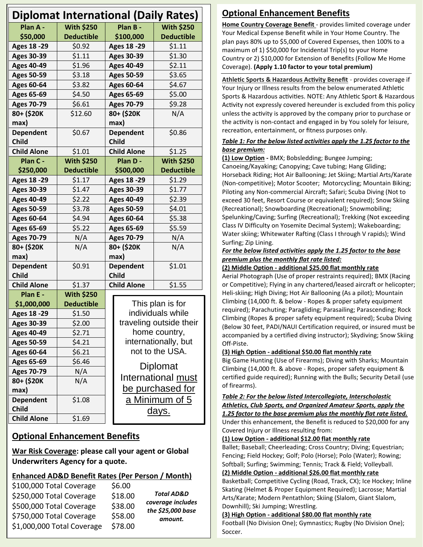| <b>Diplomat International (Daily Rates)</b> |                   |                                       |                         |
|---------------------------------------------|-------------------|---------------------------------------|-------------------------|
| Plan A -                                    | <b>With \$250</b> | Plan B -                              | <b>With \$250</b>       |
| \$50,000                                    | <b>Deductible</b> | \$100,000                             | <b>Deductible</b>       |
| <b>Ages 18 -29</b>                          | \$0.92            | <b>Ages 18 -29</b>                    | \$1.11                  |
| <b>Ages 30-39</b>                           | \$1.11            | <b>Ages 30-39</b>                     | \$1.30                  |
| <b>Ages 40-49</b>                           | \$1.96            | <b>Ages 40-49</b>                     | \$2.11                  |
| <b>Ages 50-59</b>                           | \$3.18            | <b>Ages 50-59</b>                     | \$3.65                  |
| <b>Ages 60-64</b>                           | \$3.82            | <b>Ages 60-64</b>                     | \$4.67                  |
| <b>Ages 65-69</b>                           | \$4.50            | <b>Ages 65-69</b>                     | \$5.00                  |
| <b>Ages 70-79</b>                           | \$6.61            | <b>Ages 70-79</b>                     | \$9.28                  |
| 80+ (\$20K                                  | \$12.60           | 80+ (\$20K                            | N/A                     |
| max)                                        |                   | max)                                  |                         |
| <b>Dependent</b>                            | \$0.67            | <b>Dependent</b>                      | \$0.86                  |
| <b>Child</b>                                |                   | <b>Child</b>                          |                         |
| <b>Child Alone</b>                          | \$1.01            | <b>Child Alone</b>                    | \$1.25                  |
| Plan C -                                    | <b>With \$250</b> | Plan D -                              | <b>With \$250</b>       |
| \$250,000                                   | <b>Deductible</b> | \$500,000                             | <b>Deductible</b>       |
| <b>Ages 18 -29</b>                          | \$1.17            | <b>Ages 18 -29</b>                    | \$1.29                  |
| <b>Ages 30-39</b>                           | \$1.47            | <b>Ages 30-39</b>                     | \$1.77                  |
| <b>Ages 40-49</b>                           | \$2.22            | <b>Ages 40-49</b>                     | \$2.39                  |
| <b>Ages 50-59</b>                           | \$3.78            | <b>Ages 50-59</b>                     | \$4.01                  |
| <b>Ages 60-64</b>                           | \$4.94            | <b>Ages 60-64</b>                     | \$5.38                  |
| <b>Ages 65-69</b>                           | \$5.22            | <b>Ages 65-69</b>                     | \$5.59                  |
| <b>Ages 70-79</b>                           | N/A               | <b>Ages 70-79</b>                     | N/A                     |
| 80+ (\$20K                                  | N/A               | 80+ (\$20K                            | N/A                     |
| max)                                        |                   | max)                                  |                         |
| <b>Dependent</b>                            | \$0.91            | <b>Dependent</b>                      | \$1.01                  |
| <b>Child</b>                                |                   | <b>Child</b>                          |                         |
| <b>Child Alone</b>                          | \$1.37            | <b>Child Alone</b>                    | \$1.55                  |
| Plan E -                                    | <b>With \$250</b> |                                       |                         |
| \$1,000,000                                 | <b>Deductible</b> |                                       | This plan is for        |
| <b>Ages 18 -29</b>                          | \$1.50            | individuals while                     |                         |
| <b>Ages 30-39</b>                           | \$2.00            | traveling outside their               |                         |
| <b>Ages 40-49</b>                           | \$2.71            | home country,<br>internationally, but |                         |
| <b>Ages 50-59</b>                           | \$4.21            |                                       | not to the USA.         |
| <b>Ages 60-64</b>                           | \$6.21            |                                       |                         |
| <b>Ages 65-69</b>                           | \$6.46            |                                       | Diplomat                |
| <b>Ages 70-79</b>                           | N/A               |                                       | International must      |
| 80+ (\$20K                                  | N/A               |                                       | <u>be purchased for</u> |
| max)<br><b>Dependent</b>                    | \$1.08            |                                       |                         |
| <b>Child</b>                                |                   |                                       | <u>a Minimum of 5</u>   |
| <b>Child Alone</b>                          | \$1.69            |                                       | <u>days.</u>            |
|                                             |                   |                                       |                         |

### **Optional Enhancement Benefits**

**War Risk Coverage: please call your agent or Global Underwriters Agency for a quote.**

### **Enhanced AD&D Benefit Rates (Per Person / Month)**

| \$100,000 Total Coverage   | \$6.00  | <b>Total AD&amp;D</b> |
|----------------------------|---------|-----------------------|
| \$250,000 Total Coverage   | \$18.00 | coverage includes     |
| \$500,000 Total Coverage   | \$38.00 | the \$25,000 base     |
| \$750,000 Total Coverage   | \$58.00 | amount.               |
| \$1,000,000 Total Coverage | \$78.00 |                       |

### **Optional Enhancement Benefits**

**Home Country Coverage Benefit** - provides limited coverage under Your Medical Expense Benefit while in Your Home Country. The plan pays 80% up to \$5,000 of Covered Expenses, then 100% to a maximum of 1) \$50,000 for Incidental Trip(s) to your Home Country or 2) \$10,000 for Extension of Benefits (Follow Me Home Coverage). **(Apply 1.10 factor to your total premium)**

**Athletic Sports & Hazardous Activity Benefit** - provides coverage if Your Injury or Illness results from the below enumerated Athletic Sports & Hazardous activities. NOTE: Any Athletic Sport & Hazardous Activity not expressly covered hereunder is excluded from this policy unless the activity is approved by the company prior to purchase or the activity is non-contact and engaged in by You solely for leisure, recreation, entertainment, or fitness purposes only.

#### *Table 1: For the below listed activities apply the 1.25 factor to the base premium:*

**(1) Low Option -** BMX; Bobsledding; Bungee Jumping; Canoeing/Kayaking; Canopying; Cave tubing; Hang Gliding; Horseback Riding; Hot Air Ballooning; Jet Skiing; Martial Arts/Karate (Non-competitive); Motor Scooter; Motorcycling; Mountain Biking; Piloting any Non-commercial Aircraft; Safari; Scuba Diving (Not to exceed 30 feet, Resort Course or equivalent required); Snow Skiing (Recreational); Snowboarding (Recreational); Snowmobiling; Spelunking/Caving; Surfing (Recreational); Trekking (Not exceeding Class IV Difficulty on Yosemite Decimal System); Wakeboarding; Water skiing; Whitewater Rafting (Class I through V rapids); Wind Surfing; Zip Lining.

#### *For the below listed activities apply the 1.25 factor to the base premium plus the monthly flat rate listed:*

### **(2) Middle Option - additional \$25.00 flat monthly rate**

Aerial Photograph (Use of proper restraints required); BMX (Racing or Competitive); Flying in any chartered/leased aircraft or helicopter; Heli-skiing; High Diving; Hot Air Ballooning (As a pilot); Mountain Climbing (14,000 ft. & below - Ropes & proper safety equipment required); Parachuting; Paragliding; Parasailing; Parascending; Rock Climbing (Ropes & proper safety equipment required); Scuba Diving (Below 30 feet, PADI/NAUI Certification required, or insured must be accompanied by a certified diving instructor); Skydiving; Snow Skiing Off-Piste.

### **(3) High Option - additional \$50.00 flat monthly rate**

Big Game Hunting (Use of Firearms); Diving with Sharks; Mountain Climbing (14,000 ft. & above - Ropes, proper safety equipment & certified guide required); Running with the Bulls; Security Detail (use of firearms).

### *Table 2: For the below listed Intercollegiate, Interscholastic Athletics, Club Sports, and Organized Amateur Sports, apply the*

*1.25 factor to the base premium plus the monthly flat rate listed.* Under this enhancement, the Benefit is reduced to \$20,000 for any Covered Injury or Illness resulting from:

#### **(1) Low Option - additional \$12.00 flat monthly rate**

Ballet; Baseball; Cheerleading; Cross Country; Diving; Equestrian; Fencing; Field Hockey; Golf; Polo (Horse); Polo (Water); Rowing; Softball; Surfing; Swimming; Tennis; Track & Field; Volleyball.

#### **(2) Middle Option - additional \$26.00 flat monthly rate**

Basketball; Competitive Cycling (Road, Track, CX); Ice Hockey; Inline Skating (Helmet & Proper Equipment Required); Lacrosse; Martial Arts/Karate; Modern Pentathlon; Skiing (Slalom, Giant Slalom, Downhill); Ski Jumping; Wrestling.

#### **(3) High Option - additional \$80.00 flat monthly rate**

Football (No Division One); Gymnastics; Rugby (No Division One); Soccer.